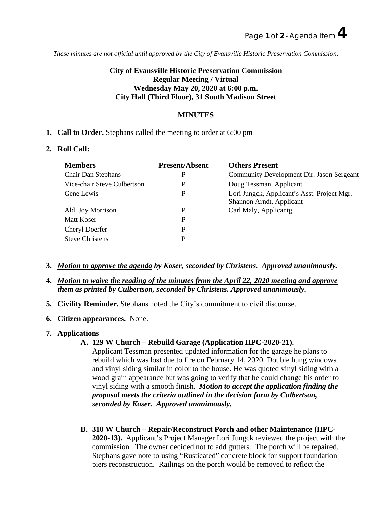*These minutes are not official until approved by the City of Evansville Historic Preservation Commission.*

# **City of Evansville Historic Preservation Commission Regular Meeting / Virtual Wednesday May 20, 2020 at 6:00 p.m. City Hall (Third Floor), 31 South Madison Street**

# **MINUTES**

**1. Call to Order.** Stephans called the meeting to order at 6:00 pm

## **2. Roll Call:**

| <b>Members</b>              | <b>Present/Absent</b> | <b>Others Present</b>                                                   |
|-----------------------------|-----------------------|-------------------------------------------------------------------------|
| Chair Dan Stephans          |                       | Community Development Dir. Jason Sergeant                               |
| Vice-chair Steve Culbertson |                       | Doug Tessman, Applicant                                                 |
| Gene Lewis                  |                       | Lori Jungck, Applicant's Asst. Project Mgr.<br>Shannon Arndt, Applicant |
| Ald. Joy Morrison           |                       | Carl Maly, Applicantg                                                   |
| Matt Koser                  |                       |                                                                         |
| Cheryl Doerfer              |                       |                                                                         |
| <b>Steve Christens</b>      |                       |                                                                         |

- **3.** *Motion to approve the agenda by Koser, seconded by Christens. Approved unanimously.*
- **4.** *Motion to waive the reading of the minutes from the April 22, 2020 meeting and approve them as printed by Culbertson, seconded by Christens. Approved unanimously.*
- **5. Civility Reminder.** Stephans noted the City's commitment to civil discourse.
- **6. Citizen appearances.** None.
- **7. Applications**

#### **A. 129 W Church – Rebuild Garage (Application HPC-2020-21).**

Applicant Tessman presented updated information for the garage he plans to rebuild which was lost due to fire on February 14, 2020. Double hung windows and vinyl siding similar in color to the house. He was quoted vinyl siding with a wood grain appearance but was going to verify that he could change his order to vinyl siding with a smooth finish. *Motion to accept the application finding the proposal meets the criteria outlined in the decision form by Culbertson, seconded by Koser. Approved unanimously.*

**B. 310 W Church – Repair/Reconstruct Porch and other Maintenance (HPC-2020-13).** Applicant's Project Manager Lori Jungck reviewed the project with the commission. The owner decided not to add gutters. The porch will be repaired. Stephans gave note to using "Rusticated" concrete block for support foundation piers reconstruction. Railings on the porch would be removed to reflect the